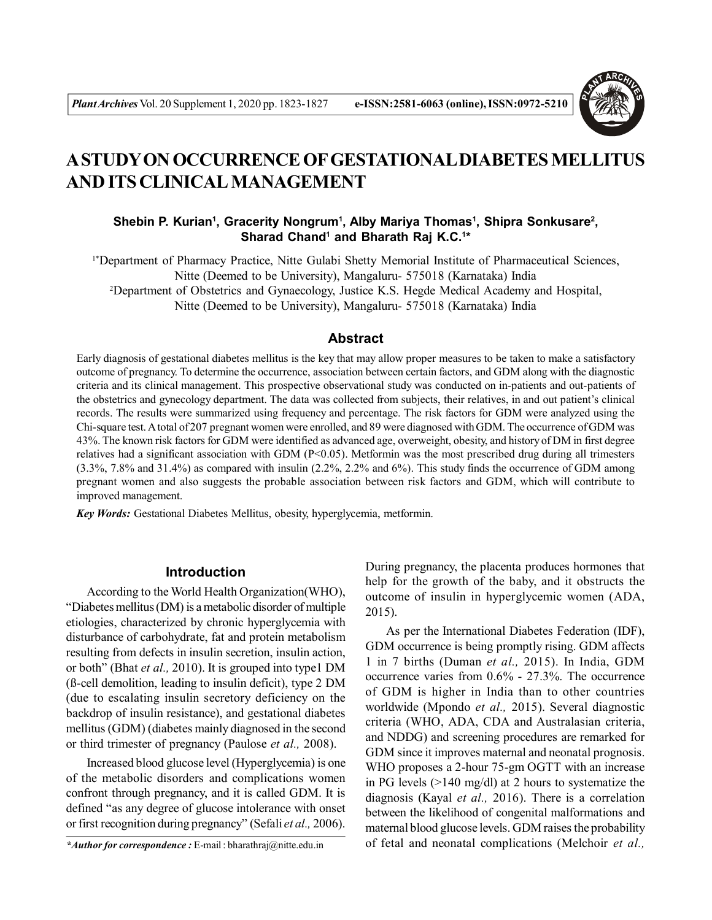

# **A STUDY ON OCCURRENCE OF GESTATIONAL DIABETES MELLITUS AND ITS CLINICAL MANAGEMENT**

# Shebin P. Kurian<sup>1</sup>, Gracerity Nongrum<sup>1</sup>, Alby Mariya Thomas<sup>1</sup>, Shipra Sonkusare<sup>2</sup>, **Sharad Chand<sup>1</sup> and Bharath Raj K.C.<sup>1</sup> \***

1\*Department of Pharmacy Practice, Nitte Gulabi Shetty Memorial Institute of Pharmaceutical Sciences, Nitte (Deemed to be University), Mangaluru- 575018 (Karnataka) India <sup>2</sup>Department of Obstetrics and Gynaecology, Justice K.S. Hegde Medical Academy and Hospital, Nitte (Deemed to be University), Mangaluru- 575018 (Karnataka) India

# **Abstract**

Early diagnosis of gestational diabetes mellitus is the key that may allow proper measures to be taken to make a satisfactory outcome of pregnancy. To determine the occurrence, association between certain factors, and GDM along with the diagnostic criteria and its clinical management. This prospective observational study was conducted on in-patients and out-patients of the obstetrics and gynecology department. The data was collected from subjects, their relatives, in and out patient's clinical records. The results were summarized using frequency and percentage. The risk factors for GDM were analyzed using the Chi-square test. A total of 207 pregnant women were enrolled, and 89 were diagnosed with GDM. The occurrence of GDM was 43%. The known risk factors for GDM were identified as advanced age, overweight, obesity, and history of DM in first degree relatives had a significant association with GDM ( $P<0.05$ ). Metformin was the most prescribed drug during all trimesters  $(3.3\%, 7.8\%$  and  $31.4\%)$  as compared with insulin  $(2.2\%, 2.2\%$  and  $6\%)$ . This study finds the occurrence of GDM among pregnant women and also suggests the probable association between risk factors and GDM, which will contribute to improved management.

*Key Words:* Gestational Diabetes Mellitus, obesity, hyperglycemia, metformin.

# **Introduction**

According to the World Health Organization(WHO), "Diabetes mellitus (DM) is a metabolic disorder of multiple etiologies, characterized by chronic hyperglycemia with disturbance of carbohydrate, fat and protein metabolism resulting from defects in insulin secretion, insulin action, or both" (Bhat *et al.,* 2010). It is grouped into type1 DM (ß-cell demolition, leading to insulin deficit), type 2 DM (due to escalating insulin secretory deficiency on the backdrop of insulin resistance), and gestational diabetes mellitus (GDM) (diabetes mainly diagnosed in the second or third trimester of pregnancy (Paulose *et al.,* 2008).

Increased blood glucose level (Hyperglycemia) is one of the metabolic disorders and complications women confront through pregnancy, and it is called GDM. It is defined "as any degree of glucose intolerance with onset or first recognition during pregnancy" (Sefali *et al.,* 2006).

*\*Author for correspondence :* E-mail : bharathraj@nitte.edu.in

During pregnancy, the placenta produces hormones that help for the growth of the baby, and it obstructs the outcome of insulin in hyperglycemic women (ADA, 2015).

As per the International Diabetes Federation (IDF), GDM occurrence is being promptly rising. GDM affects 1 in 7 births (Duman *et al.,* 2015). In India, GDM occurrence varies from 0.6% - 27.3%. The occurrence of GDM is higher in India than to other countries worldwide (Mpondo *et al.,* 2015). Several diagnostic criteria (WHO, ADA, CDA and Australasian criteria, and NDDG) and screening procedures are remarked for GDM since it improves maternal and neonatal prognosis. WHO proposes a 2-hour 75-gm OGTT with an increase in PG levels (>140 mg/dl) at 2 hours to systematize the diagnosis (Kayal *et al.,* 2016). There is a correlation between the likelihood of congenital malformations and maternal blood glucose levels. GDM raises the probability of fetal and neonatal complications (Melchoir *et al.,*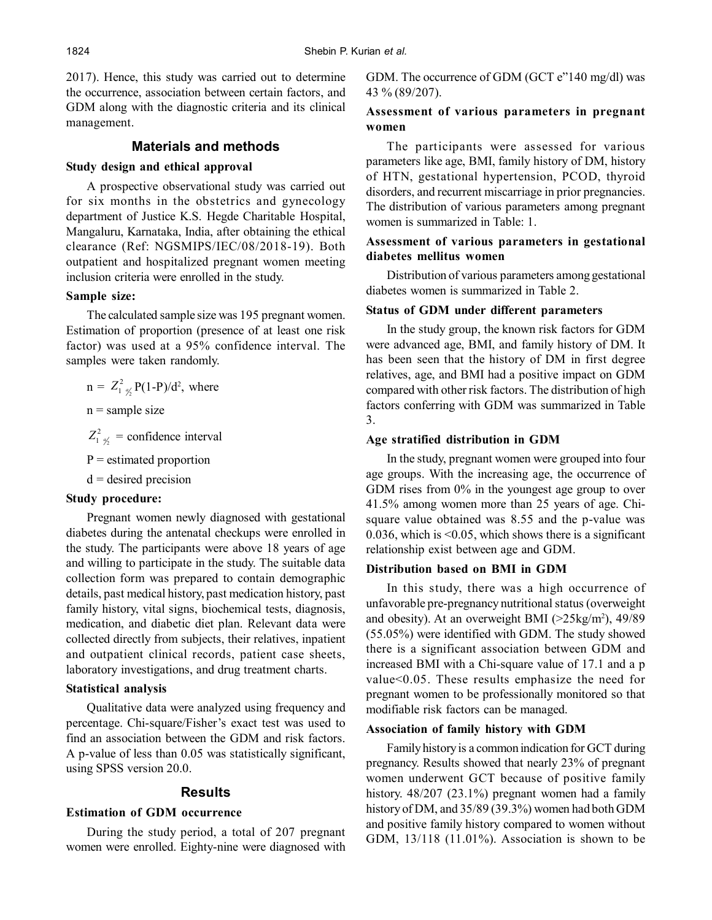2017). Hence, this study was carried out to determine the occurrence, association between certain factors, and GDM along with the diagnostic criteria and its clinical management.

# **Materials and methods**

# **Study design and ethical approval**

A prospective observational study was carried out for six months in the obstetrics and gynecology department of Justice K.S. Hegde Charitable Hospital, Mangaluru, Karnataka, India, after obtaining the ethical clearance (Ref: NGSMIPS/IEC/08/2018-19). Both outpatient and hospitalized pregnant women meeting inclusion criteria were enrolled in the study.

### **Sample size:**

The calculated sample size was 195 pregnant women. Estimation of proportion (presence of at least one risk factor) was used at a 95% confidence interval. The samples were taken randomly.

$$
n = Z_{1/9/2}^2 P(1-P)/d^2
$$
, where

 $n =$ sample size

- $Z_{1/2}^{2}$  = confidence interval
- $P =$  estimated proportion
- $d =$  desired precision

### **Study procedure:**

Pregnant women newly diagnosed with gestational diabetes during the antenatal checkups were enrolled in the study. The participants were above 18 years of age and willing to participate in the study. The suitable data collection form was prepared to contain demographic details, past medical history, past medication history, past family history, vital signs, biochemical tests, diagnosis, medication, and diabetic diet plan. Relevant data were collected directly from subjects, their relatives, inpatient and outpatient clinical records, patient case sheets, laboratory investigations, and drug treatment charts.

### **Statistical analysis**

Qualitative data were analyzed using frequency and percentage. Chi-square/Fisher's exact test was used to find an association between the GDM and risk factors. A p-value of less than 0.05 was statistically significant, using SPSS version 20.0.

# **Results**

# **Estimation of GDM occurrence**

During the study period, a total of 207 pregnant women were enrolled. Eighty-nine were diagnosed with GDM. The occurrence of GDM (GCT e"140 mg/dl) was 43 % (89/207).

# **Assessment of various parameters in pregnant women**

The participants were assessed for various parameters like age, BMI, family history of DM, history of HTN, gestational hypertension, PCOD, thyroid disorders, and recurrent miscarriage in prior pregnancies. The distribution of various parameters among pregnant women is summarized in Table: 1.

### **Assessment of various parameters in gestational diabetes mellitus women**

Distribution of various parameters among gestational diabetes women is summarized in Table 2.

# **Status of GDM under different parameters**

In the study group, the known risk factors for GDM were advanced age, BMI, and family history of DM. It has been seen that the history of DM in first degree relatives, age, and BMI had a positive impact on GDM compared with other risk factors. The distribution of high factors conferring with GDM was summarized in Table 3.

#### **Age stratified distribution in GDM**

In the study, pregnant women were grouped into four age groups. With the increasing age, the occurrence of GDM rises from 0% in the youngest age group to over 41.5% among women more than 25 years of age. Chisquare value obtained was 8.55 and the p-value was 0.036, which is <0.05, which shows there is a significant relationship exist between age and GDM.

#### **Distribution based on BMI in GDM**

In this study, there was a high occurrence of unfavorable pre-pregnancy nutritional status (overweight and obesity). At an overweight BMI  $(>25\text{kg/m}^2)$ , 49/89 (55.05%) were identified with GDM. The study showed there is a significant association between GDM and increased BMI with a Chi-square value of 17.1 and a p value<0.05. These results emphasize the need for pregnant women to be professionally monitored so that modifiable risk factors can be managed.

### **Association of family history with GDM**

Family history is a common indication for GCT during pregnancy. Results showed that nearly 23% of pregnant women underwent GCT because of positive family history. 48/207 (23.1%) pregnant women had a family history of DM, and 35/89 (39.3%) women had both GDM and positive family history compared to women without GDM, 13/118 (11.01%). Association is shown to be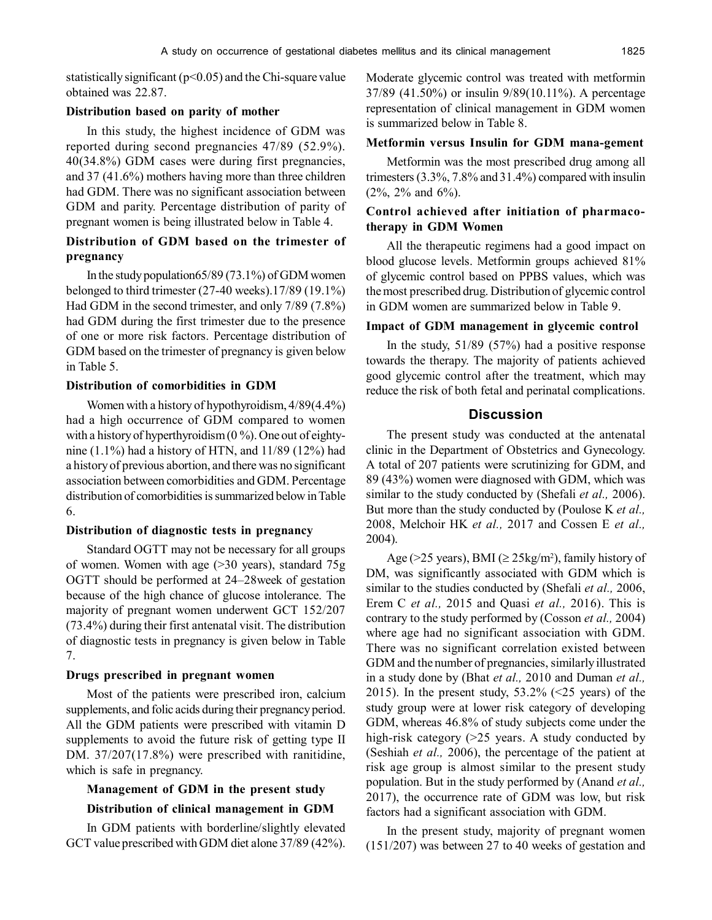statistically significant ( $p<0.05$ ) and the Chi-square value obtained was 22.87.

#### **Distribution based on parity of mother**

In this study, the highest incidence of GDM was reported during second pregnancies 47/89 (52.9%). 40(34.8%) GDM cases were during first pregnancies, and 37 (41.6%) mothers having more than three children had GDM. There was no significant association between GDM and parity. Percentage distribution of parity of pregnant women is being illustrated below in Table 4.

### **Distribution of GDM based on the trimester of pregnancy**

In the study population65/89 (73.1%) of GDM women belonged to third trimester (27-40 weeks).17/89 (19.1%) Had GDM in the second trimester, and only 7/89 (7.8%) had GDM during the first trimester due to the presence of one or more risk factors. Percentage distribution of GDM based on the trimester of pregnancy is given below in Table 5.

#### **Distribution of comorbidities in GDM**

Women with a history of hypothyroidism, 4/89(4.4%) had a high occurrence of GDM compared to women with a history of hyperthyroidism  $(0\%)$ . One out of eightynine  $(1.1\%)$  had a history of HTN, and  $11/89$   $(12\%)$  had a history of previous abortion, and there was no significant association between comorbidities and GDM. Percentage distribution of comorbidities is summarized below in Table 6.

#### **Distribution of diagnostic tests in pregnancy**

Standard OGTT may not be necessary for all groups of women. Women with age (>30 years), standard 75g OGTT should be performed at 24–28week of gestation because of the high chance of glucose intolerance. The majority of pregnant women underwent GCT 152/207 (73.4%) during their first antenatal visit. The distribution of diagnostic tests in pregnancy is given below in Table 7.

#### **Drugs prescribed in pregnant women**

Most of the patients were prescribed iron, calcium supplements, and folic acids during their pregnancy period. All the GDM patients were prescribed with vitamin D supplements to avoid the future risk of getting type II DM. 37/207(17.8%) were prescribed with ranitidine, which is safe in pregnancy.

### **Management of GDM in the present study**

#### **Distribution of clinical management in GDM**

In GDM patients with borderline/slightly elevated GCT value prescribed with GDM diet alone 37/89 (42%).

Moderate glycemic control was treated with metformin 37/89 (41.50%) or insulin 9/89(10.11%). A percentage representation of clinical management in GDM women is summarized below in Table 8.

#### **Metformin versus Insulin for GDM mana-gement**

Metformin was the most prescribed drug among all trimesters (3.3%, 7.8% and 31.4%) compared with insulin (2%, 2% and 6%).

# **Control achieved after initiation of pharmacotherapy in GDM Women**

All the therapeutic regimens had a good impact on blood glucose levels. Metformin groups achieved 81% of glycemic control based on PPBS values, which was the most prescribed drug. Distribution of glycemic control in GDM women are summarized below in Table 9.

### **Impact of GDM management in glycemic control**

In the study, 51/89 (57%) had a positive response towards the therapy. The majority of patients achieved good glycemic control after the treatment, which may reduce the risk of both fetal and perinatal complications.

# **Discussion**

The present study was conducted at the antenatal clinic in the Department of Obstetrics and Gynecology. A total of 207 patients were scrutinizing for GDM, and 89 (43%) women were diagnosed with GDM, which was similar to the study conducted by (Shefali *et al.,* 2006). But more than the study conducted by (Poulose K *et al.,* 2008, Melchoir HK *et al.,* 2017 and Cossen E *et al.,* 2004).

Age (>25 years), BMI ( $\geq$  25kg/m<sup>2</sup>), family history of DM, was significantly associated with GDM which is similar to the studies conducted by (Shefali *et al.,* 2006, Erem C *et al.,* 2015 and Quasi *et al.,* 2016). This is contrary to the study performed by (Cosson *et al.,* 2004) where age had no significant association with GDM. There was no significant correlation existed between GDM and the number of pregnancies, similarly illustrated in a study done by (Bhat *et al.,* 2010 and Duman *et al.,* 2015). In the present study,  $53.2\%$  (<25 years) of the study group were at lower risk category of developing GDM, whereas 46.8% of study subjects come under the high-risk category (>25 years. A study conducted by (Seshiah *et al.,* 2006), the percentage of the patient at risk age group is almost similar to the present study population. But in the study performed by (Anand *et al.,* 2017), the occurrence rate of GDM was low, but risk factors had a significant association with GDM.

In the present study, majority of pregnant women (151/207) was between 27 to 40 weeks of gestation and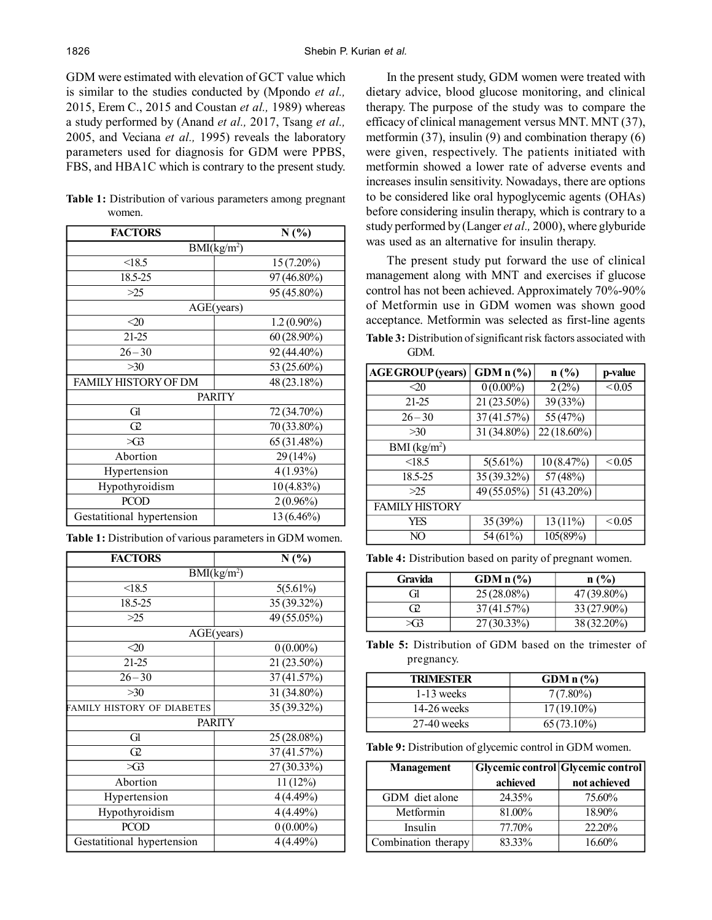GDM were estimated with elevation of GCT value which is similar to the studies conducted by (Mpondo *et al.,* 2015, Erem C., 2015 and Coustan *et al.,* 1989) whereas a study performed by (Anand *et al.,* 2017, Tsang *et al.,* 2005, and Veciana *et al.,* 1995) reveals the laboratory parameters used for diagnosis for GDM were PPBS, FBS, and HBA1C which is contrary to the present study.

**Table 1:** Distribution of various parameters among pregnant women.

| <b>FACTORS</b>             | N(%)          |  |
|----------------------------|---------------|--|
| BMI(kg/m <sup>2</sup> )    |               |  |
| < 18.5                     | $15(7.20\%)$  |  |
| 18.5-25                    | 97 (46.80%)   |  |
| >25                        | 95 (45.80%)   |  |
| AGE(years)                 |               |  |
| $\triangle 20$             | $1.2(0.90\%)$ |  |
| 21-25                      | $60(28.90\%)$ |  |
| $26 - 30$                  | 92 (44.40%)   |  |
| >30                        | 53 (25.60%)   |  |
| FAMILY HISTORY OF DM       | 48 (23.18%)   |  |
| <b>PARITY</b>              |               |  |
| Gl                         | 72 (34.70%)   |  |
| $\Omega$                   | 70 (33.80%)   |  |
| $\bowtie$                  | 65 (31.48%)   |  |
| Abortion                   | 29 (14%)      |  |
| Hypertension               | $4(1.93\%)$   |  |
| Hypothyroidism             | $10(4.83\%)$  |  |
| <b>PCOD</b>                | $2(0.96\%)$   |  |
| Gestatitional hypertension | 13 (6.46%)    |  |

| <b>FACTORS</b>             | N(%)        |  |
|----------------------------|-------------|--|
| BMI(kg/m <sup>2</sup> )    |             |  |
| < 18.5                     | $5(5.61\%)$ |  |
| 18.5-25                    | 35 (39.32%) |  |
| >25                        | 49 (55.05%) |  |
| AGE(years)                 |             |  |
| $\leq 20$                  | $0(0.00\%)$ |  |
| 21-25                      | 21 (23.50%) |  |
| $26 - 30$                  | 37 (41.57%) |  |
| >30                        | 31 (34.80%) |  |
| FAMILY HISTORY OF DIABETES | 35 (39.32%) |  |
| <b>PARITY</b>              |             |  |
| Gl                         | 25 (28.08%) |  |
| Œ                          | 37 (41.57%) |  |
| $\bowtie$                  | 27 (30.33%) |  |
| Abortion                   | 11(12%)     |  |
| Hypertension               | 4(4.49%)    |  |
| Hypothyroidism             | 4(4.49%)    |  |
| <b>PCOD</b>                | $0(0.00\%)$ |  |
| Gestatitional hypertension | 4(4.49%)    |  |

In the present study, GDM women were treated with dietary advice, blood glucose monitoring, and clinical therapy. The purpose of the study was to compare the efficacy of clinical management versus MNT. MNT (37), metformin  $(37)$ , insulin  $(9)$  and combination therapy  $(6)$ were given, respectively. The patients initiated with metformin showed a lower rate of adverse events and increases insulin sensitivity. Nowadays, there are options to be considered like oral hypoglycemic agents (OHAs) before considering insulin therapy, which is contrary to a study performed by (Langer *et al.,* 2000), where glyburide was used as an alternative for insulin therapy.

The present study put forward the use of clinical management along with MNT and exercises if glucose control has not been achieved. Approximately 70%-90% of Metformin use in GDM women was shown good acceptance. Metformin was selected as first-line agents **Table 3:** Distribution of significant risk factors associated with

GDM.

| <b>AGE GROUP</b> (years) | GDM n (%)   | n(%)        | p-value     |
|--------------------------|-------------|-------------|-------------|
| $\lll$                   | $0(0.00\%)$ | 2(2%)       | ${}_{0.05}$ |
| 21-25                    | 21 (23.50%) | 39 (33%)    |             |
| $26 - 30$                | 37 (41.57%) | 55 (47%)    |             |
| >30                      | 31 (34.80%) | 22 (18.60%) |             |
| BMI (kg/m <sup>2</sup> ) |             |             |             |
| < 18.5                   | $5(5.61\%)$ | 10(8.47%)   | < 0.05      |
| 18.5-25                  | 35 (39.32%) | 57 (48%)    |             |
| >25                      | 49 (55.05%) | 51 (43.20%) |             |
| <b>FAMILY HISTORY</b>    |             |             |             |
| YES                      | 35 (39%)    | $13(11\%)$  | ${}_{0.05}$ |
| NO                       | 54 (61%)    | 105(89%)    |             |

**Table 4:** Distribution based on parity of pregnant women.

| Gravida                | $GDMn\ (\%)$  | n(%)        |
|------------------------|---------------|-------------|
| ίì                     | $25(28.08\%)$ | 47 (39.80%) |
| G V                    | 37(41.57%)    | 33 (27.90%) |
| $\times$ $\mathcal{F}$ | $27(30.33\%)$ | 38 (32.20%) |

**Table 5:** Distribution of GDM based on the trimester of pregnancy.

| <b>TRIMESTER</b> | GDM $n$ $\left(\frac{9}{6}\right)$ |
|------------------|------------------------------------|
| $1-13$ weeks     | $7(7.80\%)$                        |
| $14-26$ weeks    | $17(19.10\%)$                      |
| $27-40$ weeks    | $65(73.10\%)$                      |

**Table 9:** Distribution of glycemic control in GDM women.

| <b>Management</b>   | Glycemic control   Glycemic control |              |
|---------------------|-------------------------------------|--------------|
|                     | achieved                            | not achieved |
| GDM diet alone      | 24.35%                              | 75.60%       |
| Metformin           | 81.00%                              | 18.90%       |
| Insulin             | 77.70%                              | 22.20%       |
| Combination therapy | 83.33%                              | 16.60%       |